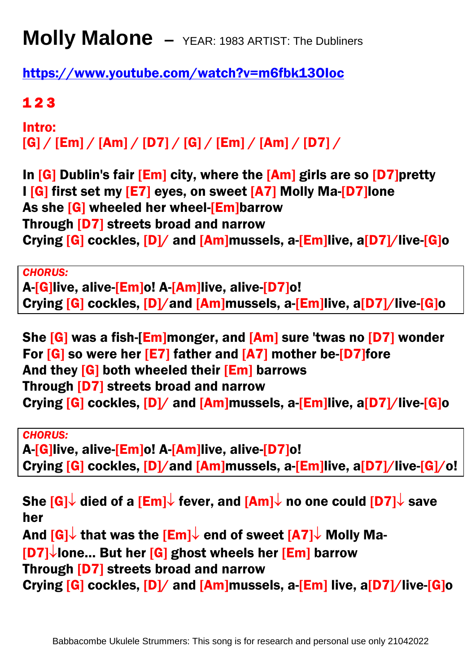## **Molly Malone –** YEAR: 1983 ARTIST: The Dubliners

<https://www.youtube.com/watch?v=m6fbk13OIoc>

## 1 2 3

Intro:  $[G] / [Em] / [Am] / [D7] / [G] / [Em] / [Am] / [D7] /$ 

In  $[G]$  Dublin's fair  $[Em]$  city, where the  $[Am]$  girls are so  $[D7]$ pretty I [G] first set my [E7] eyes, on sweet [A7] Molly Ma-[D7]lone As she [G] wheeled her wheel-[Em]barrow Through [D7] streets broad and narrow Crying [G] cockles, [D]/ and [Am]mussels, a-[Em]live, a[D7]/live-[G]o

*CHORUS:* 

A-[G]live, alive-[Em]o! A-[Am]live, alive-[D7]o! Crying [G] cockles, [D]/and [Am]mussels, a-[Em]live, a[D7]/live-[G]o

She [G] was a fish-[Em]monger, and [Am] sure 'twas no [D7] wonder For [G] so were her [E7] father and [A7] mother be-[D7]fore And they [G] both wheeled their [Em] barrows Through [D7] streets broad and narrow Crying [G] cockles, [D]/ and [Am]mussels, a-[Em]live, a[D7]/live-[G]o

*CHORUS:* 

A-[G]live, alive-[Em]o! A-[Am]live, alive-[D7]o! Crying [G] cockles, [D]/and [Am]mussels, a-[Em]live, a[D7]/live-[G]/o!

She  $[G] \downarrow$  died of a  $[Em] \downarrow$  fever, and  $[Am] \downarrow$  no one could  $[D7] \downarrow$  save her And  $[G] \downarrow$  that was the  $[Em] \downarrow$  end of sweet  $[A7] \downarrow$  Molly Ma- $[D7]$  lone... But her  $[G]$  ghost wheels her  $[Em]$  barrow Through [D7] streets broad and narrow

Crying [G] cockles, [D]/ and [Am]mussels, a-[Em] live, a[D7]/live-[G]o